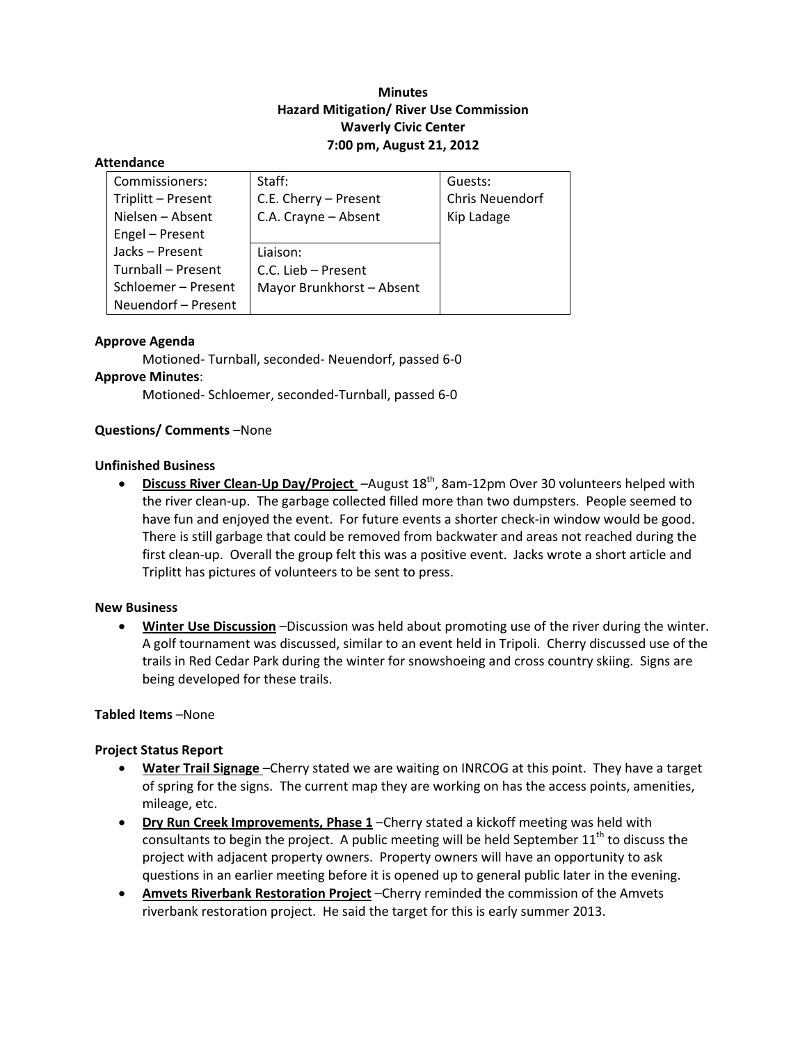# **Minutes Hazard Mitigation/ River Use Commission Waverly Civic Center 7:00 pm, August 21, 2012**

#### **Attendance**

| Commissioners:      | Staff:                    | Guests:         |
|---------------------|---------------------------|-----------------|
| Triplitt - Present  | C.E. Cherry - Present     | Chris Neuendorf |
| Nielsen – Absent    | C.A. Crayne - Absent      | Kip Ladage      |
| Engel - Present     |                           |                 |
| Jacks-Present       | Liaison:                  |                 |
| Turnball - Present  | C.C. Lieb - Present       |                 |
| Schloemer - Present | Mayor Brunkhorst - Absent |                 |
| Neuendorf - Present |                           |                 |

#### **Approve Agenda**

Motioned‐ Turnball, seconded‐ Neuendorf, passed 6‐0 **Approve Minutes**: Motioned‐ Schloemer, seconded‐Turnball, passed 6‐0

### **Questions/ Comments** –None

### **Unfinished Business**

 **Discuss River Clean‐Up Day/Project** –August 18th, 8am‐12pm Over 30 volunteers helped with the river clean‐up. The garbage collected filled more than two dumpsters. People seemed to have fun and enjoyed the event. For future events a shorter check-in window would be good. There is still garbage that could be removed from backwater and areas not reached during the first clean‐up. Overall the group felt this was a positive event. Jacks wrote a short article and Triplitt has pictures of volunteers to be sent to press.

#### **New Business**

 **Winter Use Discussion** –Discussion was held about promoting use of the river during the winter. A golf tournament was discussed, similar to an event held in Tripoli. Cherry discussed use of the trails in Red Cedar Park during the winter for snowshoeing and cross country skiing. Signs are being developed for these trails.

#### **Tabled Items** –None

# **Project Status Report**

- **Water Trail Signage** –Cherry stated we are waiting on INRCOG at this point. They have a target of spring for the signs. The current map they are working on has the access points, amenities, mileage, etc.
- **Dry Run Creek Improvements, Phase 1** –Cherry stated a kickoff meeting was held with consultants to begin the project. A public meeting will be held September  $11<sup>th</sup>$  to discuss the project with adjacent property owners. Property owners will have an opportunity to ask questions in an earlier meeting before it is opened up to general public later in the evening.
- **Amvets Riverbank Restoration Project** –Cherry reminded the commission of the Amvets riverbank restoration project. He said the target for this is early summer 2013.